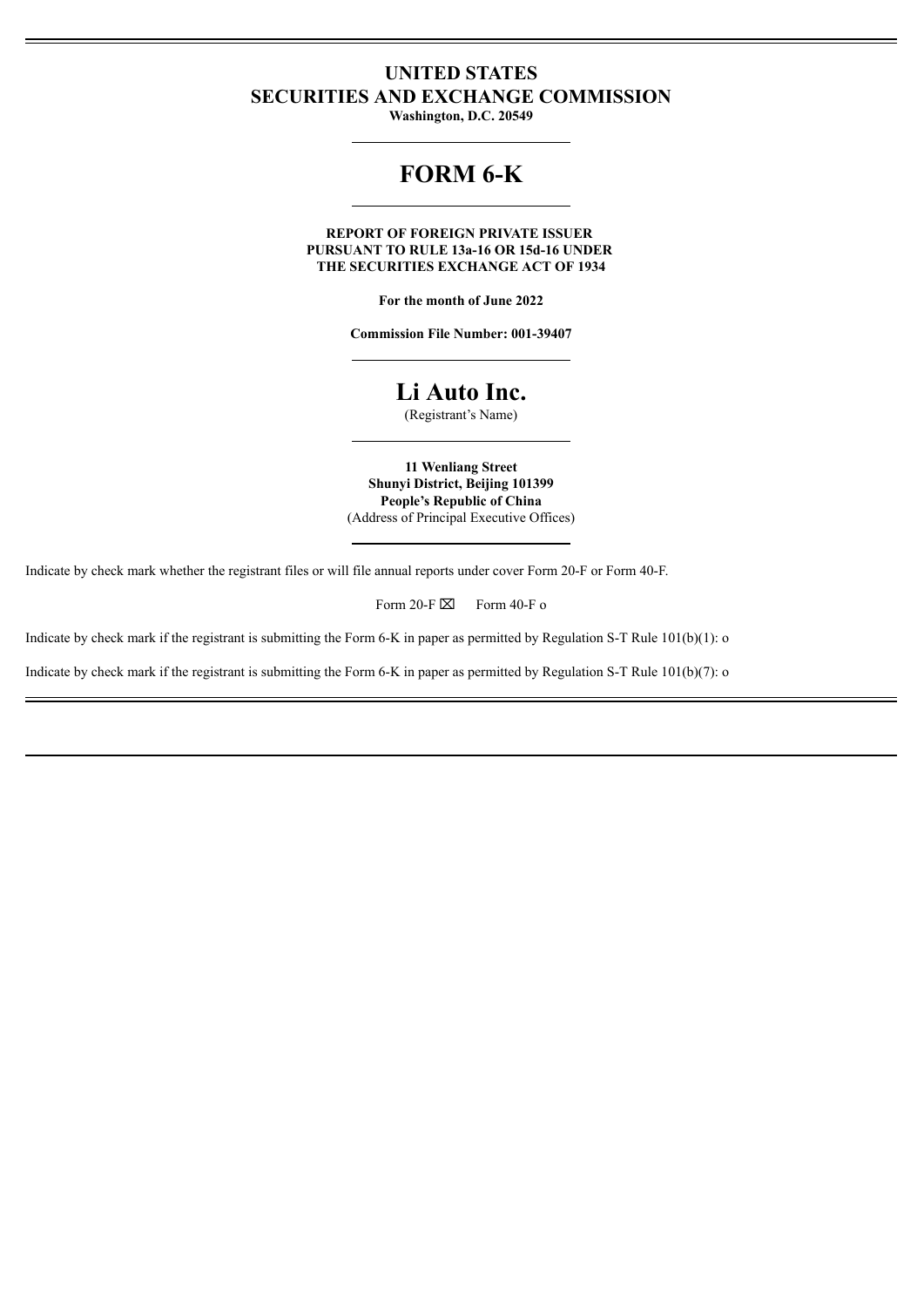## **UNITED STATES SECURITIES AND EXCHANGE COMMISSION**

**Washington, D.C. 20549**

# **FORM 6-K**

**REPORT OF FOREIGN PRIVATE ISSUER PURSUANT TO RULE 13a-16 OR 15d-16 UNDER THE SECURITIES EXCHANGE ACT OF 1934**

**For the month of June 2022**

**Commission File Number: 001-39407**

## **Li Auto Inc.**

(Registrant's Name)

**11 Wenliang Street Shunyi District, Beijing 101399 People's Republic of China** (Address of Principal Executive Offices)

Indicate by check mark whether the registrant files or will file annual reports under cover Form 20-F or Form 40-F.

Form 20-F $\boxtimes$  Form 40-F o

Indicate by check mark if the registrant is submitting the Form 6-K in paper as permitted by Regulation S-T Rule 101(b)(1): o

Indicate by check mark if the registrant is submitting the Form 6-K in paper as permitted by Regulation S-T Rule 101(b)(7): o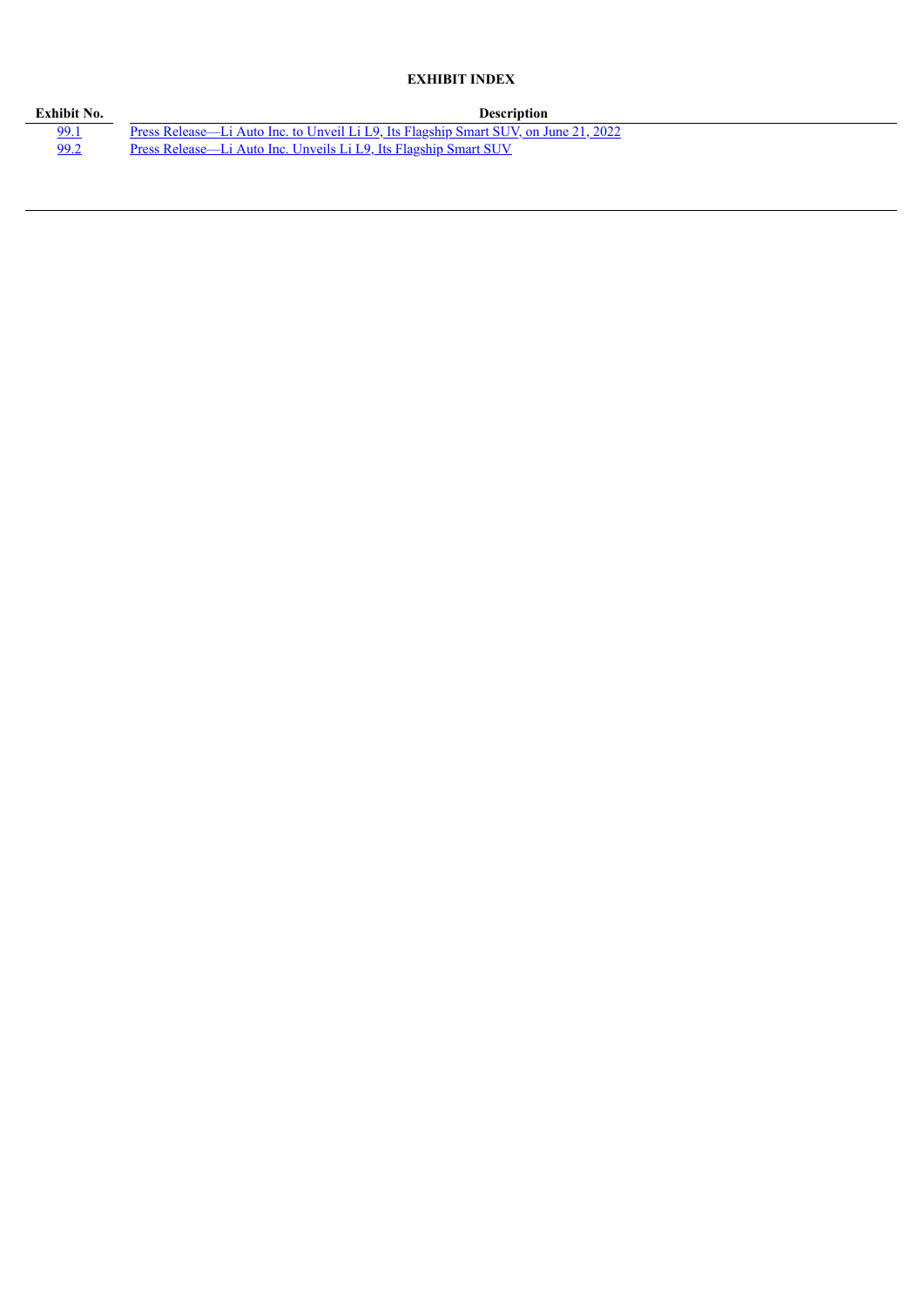## **EXHIBIT INDEX**

| Exhibit No. | <b>Description</b>                                                                          |
|-------------|---------------------------------------------------------------------------------------------|
| 99.1        | <u>Press Release—Li Auto Inc. to Unveil Li L9, Its Flagship Smart SUV, on June 21, 2022</u> |
| 99.2        | Press Release—Li Auto Inc. Unveils Li L9, Its Flagship Smart SUV                            |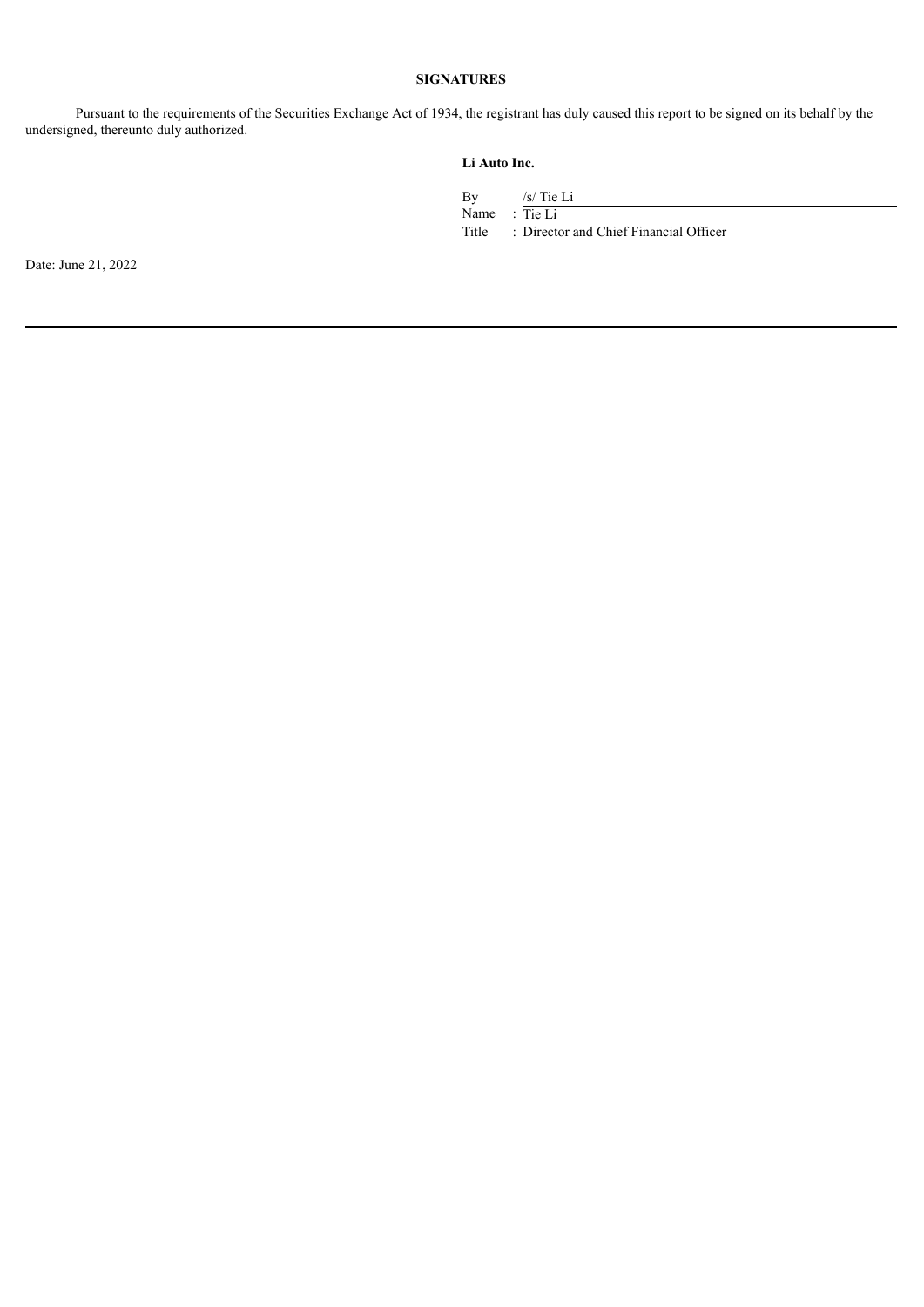### **SIGNATURES**

Pursuant to the requirements of the Securities Exchange Act of 1934, the registrant has duly caused this report to be signed on its behalf by the undersigned, thereunto duly authorized.

## **Li Auto Inc.**

By /s/ Tie Li

Name : Tie Li

Title : Director and Chief Financial Officer

Date: June 21, 2022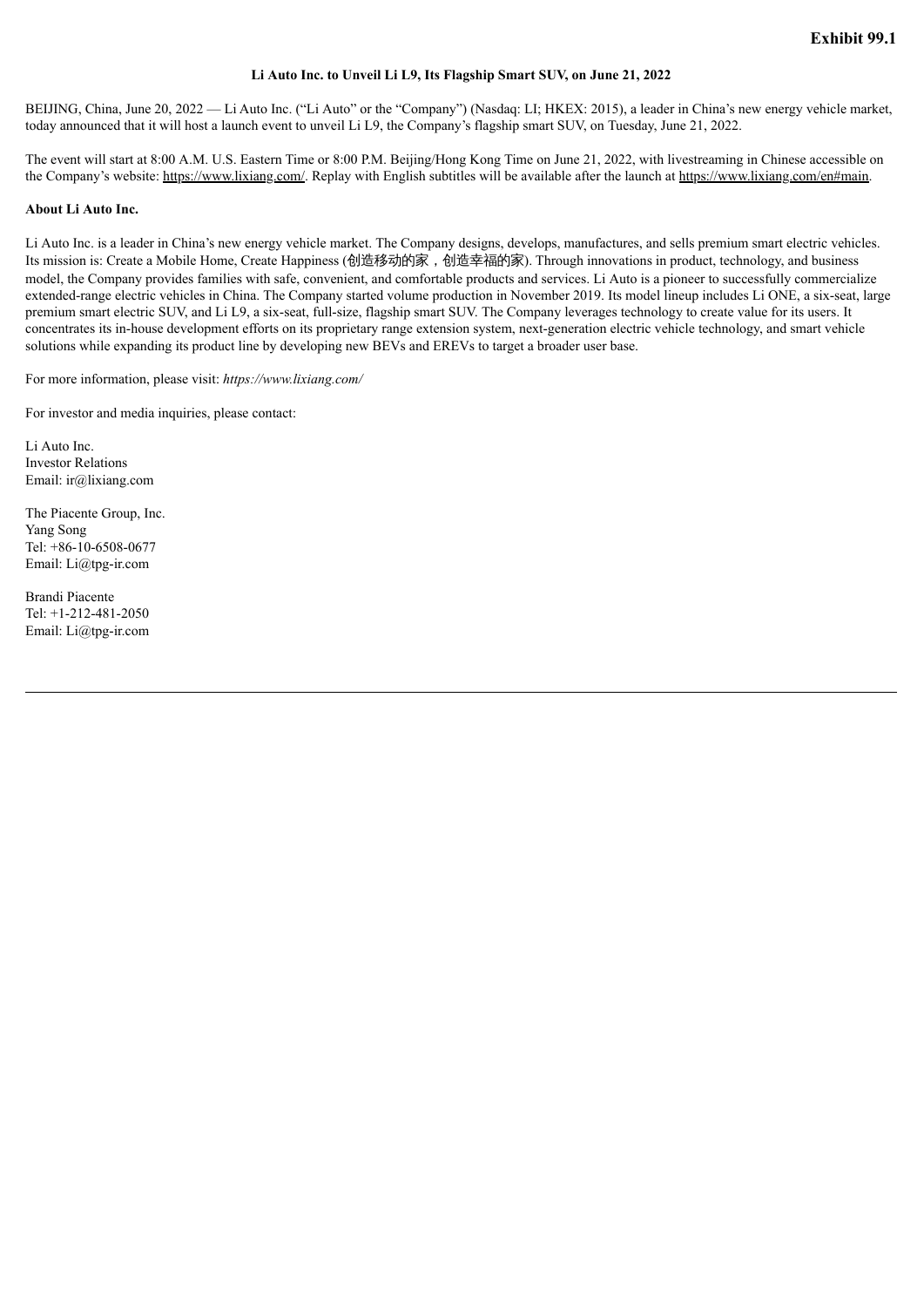#### **Li Auto Inc. to Unveil Li L9, Its Flagship Smart SUV, on June 21, 2022**

<span id="page-3-0"></span>BEIJING, China, June 20, 2022 — Li Auto Inc. ("Li Auto" or the "Company") (Nasdaq: LI; HKEX: 2015), a leader in China's new energy vehicle market, today announced that it will host a launch event to unveil Li L9, the Company's flagship smart SUV, on Tuesday, June 21, 2022.

The event will start at 8:00 A.M. U.S. Eastern Time or 8:00 P.M. Beijing/Hong Kong Time on June 21, 2022, with livestreaming in Chinese accessible on the Company's website: https://www.lixiang.com/. Replay with English subtitles will be available after the launch at https://www.lixiang.com/en#main.

#### **About Li Auto Inc.**

Li Auto Inc. is a leader in China's new energy vehicle market. The Company designs, develops, manufactures, and sells premium smart electric vehicles. Its mission is: Create a Mobile Home, Create Happiness (创造移动的家,创造幸福的家). Through innovations in product, technology, and business model, the Company provides families with safe, convenient, and comfortable products and services. Li Auto is a pioneer to successfully commercialize extended-range electric vehicles in China. The Company started volume production in November 2019. Its model lineup includes Li ONE, a six-seat, large premium smart electric SUV, and Li L9, a six-seat, full-size, flagship smart SUV. The Company leverages technology to create value for its users. It concentrates its in-house development efforts on its proprietary range extension system, next-generation electric vehicle technology, and smart vehicle solutions while expanding its product line by developing new BEVs and EREVs to target a broader user base.

For more information, please visit: *https://www.lixiang.com/*

For investor and media inquiries, please contact:

Li Auto Inc. Investor Relations Email: ir@lixiang.com

The Piacente Group, Inc. Yang Song Tel: +86-10-6508-0677 Email: Li@tpg-ir.com

Brandi Piacente Tel: +1-212-481-2050 Email: Li@tpg-ir.com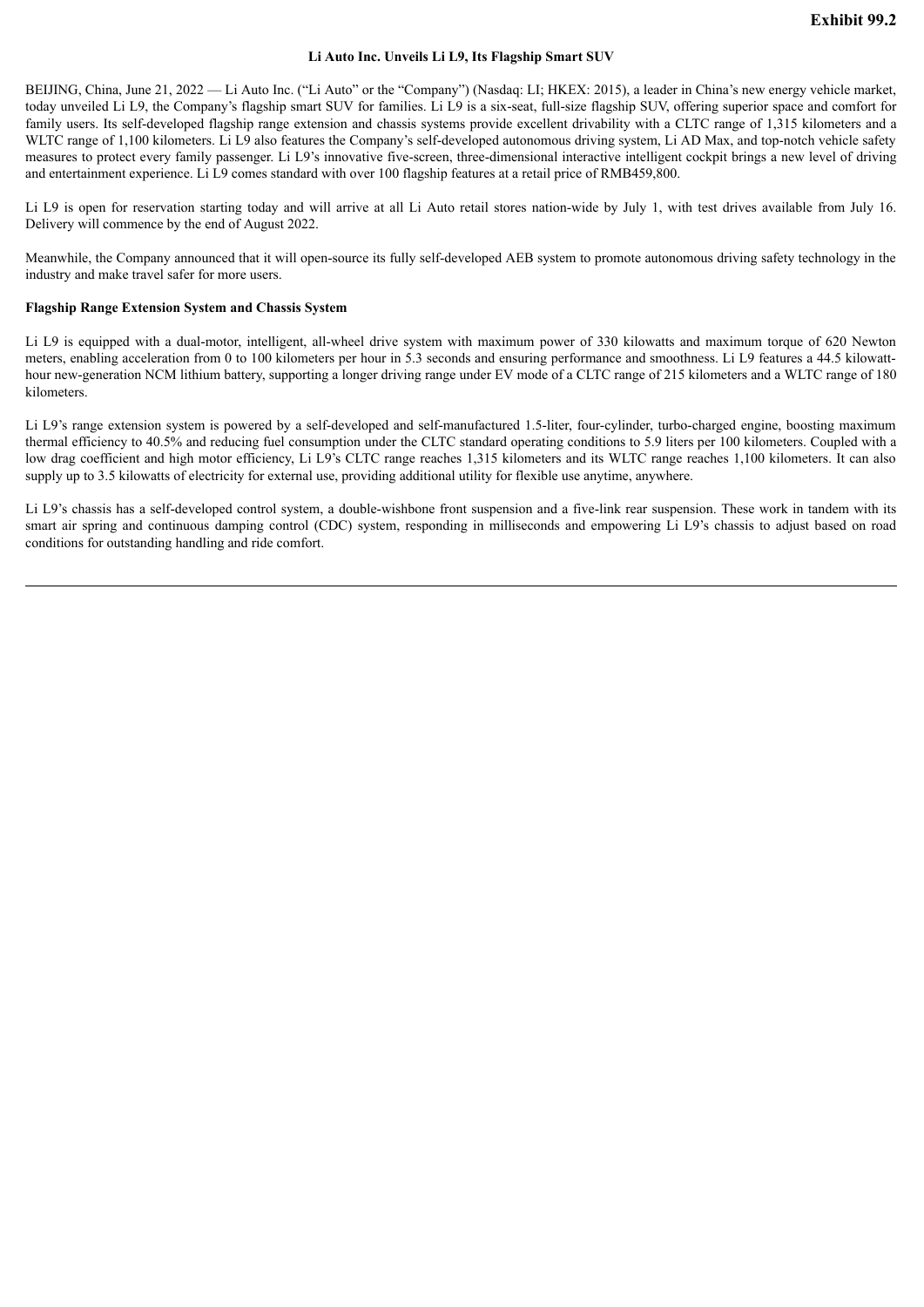#### **Li Auto Inc. Unveils Li L9, Its Flagship Smart SUV**

<span id="page-4-0"></span>BEIJING, China, June 21, 2022 — Li Auto Inc. ("Li Auto" or the "Company") (Nasdaq: LI; HKEX: 2015), a leader in China's new energy vehicle market, today unveiled Li L9, the Company's flagship smart SUV for families. Li L9 is a six-seat, full-size flagship SUV, offering superior space and comfort for family users. Its self-developed flagship range extension and chassis systems provide excellent drivability with a CLTC range of 1,315 kilometers and a WLTC range of 1,100 kilometers. Li L9 also features the Company's self-developed autonomous driving system, Li AD Max, and top-notch vehicle safety measures to protect every family passenger. Li L9's innovative five-screen, three-dimensional interactive intelligent cockpit brings a new level of driving and entertainment experience. Li L9 comes standard with over 100 flagship features at a retail price of RMB459,800.

Li L9 is open for reservation starting today and will arrive at all Li Auto retail stores nation-wide by July 1, with test drives available from July 16. Delivery will commence by the end of August 2022.

Meanwhile, the Company announced that it will open-source its fully self-developed AEB system to promote autonomous driving safety technology in the industry and make travel safer for more users.

#### **Flagship Range Extension System and Chassis System**

Li L9 is equipped with a dual-motor, intelligent, all-wheel drive system with maximum power of 330 kilowatts and maximum torque of 620 Newton meters, enabling acceleration from 0 to 100 kilometers per hour in 5.3 seconds and ensuring performance and smoothness. Li L9 features a 44.5 kilowatthour new-generation NCM lithium battery, supporting a longer driving range under EV mode of a CLTC range of 215 kilometers and a WLTC range of 180 kilometers.

Li L9's range extension system is powered by a self-developed and self-manufactured 1.5-liter, four-cylinder, turbo-charged engine, boosting maximum thermal efficiency to 40.5% and reducing fuel consumption under the CLTC standard operating conditions to 5.9 liters per 100 kilometers. Coupled with a low drag coefficient and high motor efficiency, Li L9's CLTC range reaches 1,315 kilometers and its WLTC range reaches 1,100 kilometers. It can also supply up to 3.5 kilowatts of electricity for external use, providing additional utility for flexible use anytime, anywhere.

Li L9's chassis has a self-developed control system, a double-wishbone front suspension and a five-link rear suspension. These work in tandem with its smart air spring and continuous damping control (CDC) system, responding in milliseconds and empowering Li L9's chassis to adjust based on road conditions for outstanding handling and ride comfort.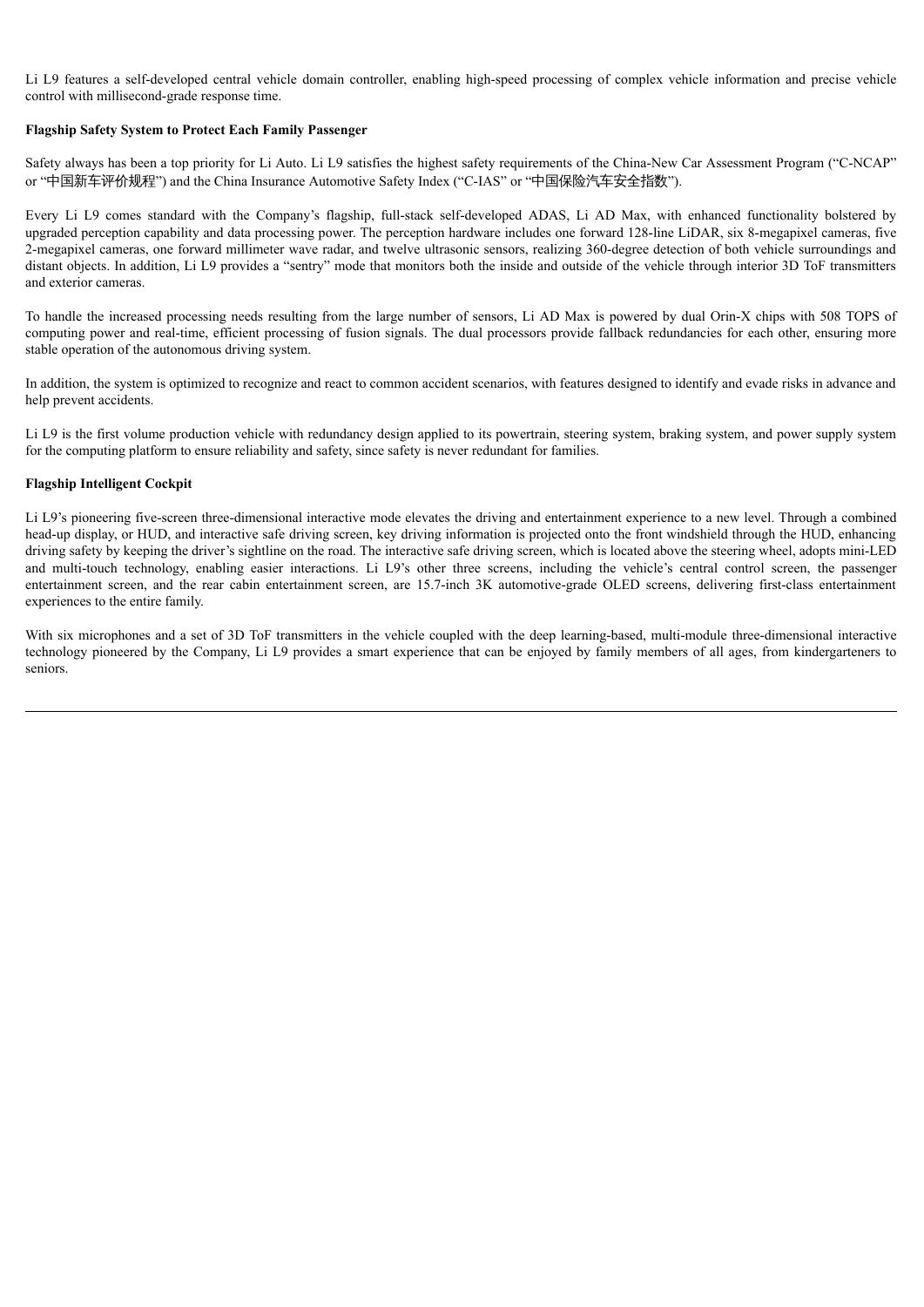Li L9 features a self-developed central vehicle domain controller, enabling high-speed processing of complex vehicle information and precise vehicle control with millisecond-grade response time.

#### **Flagship Safety System to Protect Each Family Passenger**

Safety always has been a top priority for Li Auto. Li L9 satisfies the highest safety requirements of the China-New Car Assessment Program ("C-NCAP" or "中国新车评价规程") and the China Insurance Automotive Safety Index ("C-IAS" or "中国保险汽车安全指数").

Every Li L9 comes standard with the Company's flagship, full-stack self-developed ADAS, Li AD Max, with enhanced functionality bolstered by upgraded perception capability and data processing power. The perception hardware includes one forward 128-line LiDAR, six 8-megapixel cameras, five 2-megapixel cameras, one forward millimeter wave radar, and twelve ultrasonic sensors, realizing 360-degree detection of both vehicle surroundings and distant objects. In addition, Li L9 provides a "sentry" mode that monitors both the inside and outside of the vehicle through interior 3D ToF transmitters and exterior cameras.

To handle the increased processing needs resulting from the large number of sensors, Li AD Max is powered by dual Orin-X chips with 508 TOPS of computing power and real-time, efficient processing of fusion signals. The dual processors provide fallback redundancies for each other, ensuring more stable operation of the autonomous driving system.

In addition, the system is optimized to recognize and react to common accident scenarios, with features designed to identify and evade risks in advance and help prevent accidents.

Li L9 is the first volume production vehicle with redundancy design applied to its powertrain, steering system, braking system, and power supply system for the computing platform to ensure reliability and safety, since safety is never redundant for families.

#### **Flagship Intelligent Cockpit**

Li L9's pioneering five-screen three-dimensional interactive mode elevates the driving and entertainment experience to a new level. Through a combined head-up display, or HUD, and interactive safe driving screen, key driving information is projected onto the front windshield through the HUD, enhancing driving safety by keeping the driver's sightline on the road. The interactive safe driving screen, which is located above the steering wheel, adopts mini-LED and multi-touch technology, enabling easier interactions. Li L9's other three screens, including the vehicle's central control screen, the passenger entertainment screen, and the rear cabin entertainment screen, are 15.7-inch 3K automotive-grade OLED screens, delivering first-class entertainment experiences to the entire family.

With six microphones and a set of 3D ToF transmitters in the vehicle coupled with the deep learning-based, multi-module three-dimensional interactive technology pioneered by the Company, Li L9 provides a smart experience that can be enjoyed by family members of all ages, from kindergarteners to seniors.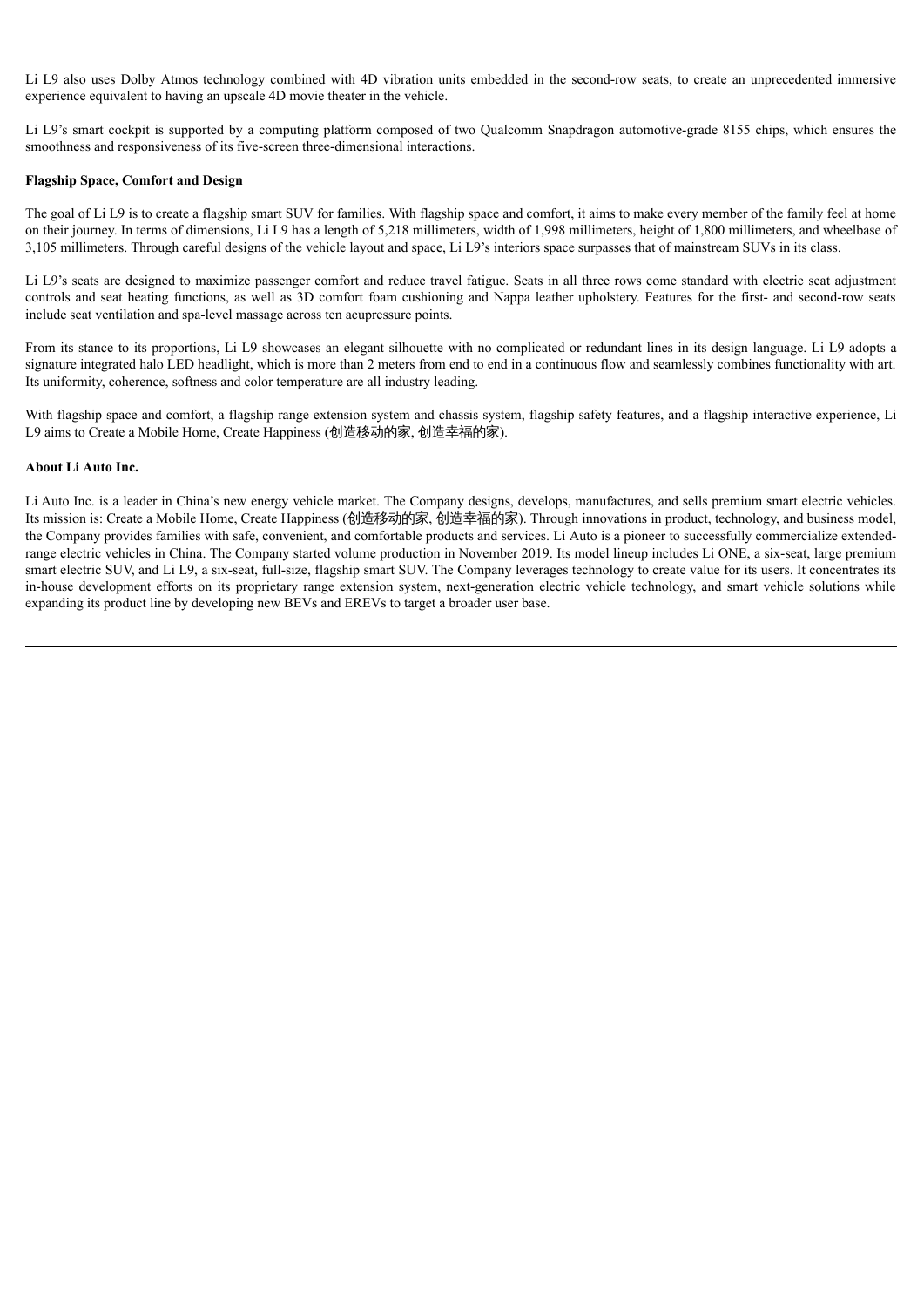Li L9 also uses Dolby Atmos technology combined with 4D vibration units embedded in the second-row seats, to create an unprecedented immersive experience equivalent to having an upscale 4D movie theater in the vehicle.

Li L9's smart cockpit is supported by a computing platform composed of two Qualcomm Snapdragon automotive-grade 8155 chips, which ensures the smoothness and responsiveness of its five-screen three-dimensional interactions.

#### **Flagship Space, Comfort and Design**

The goal of Li L9 is to create a flagship smart SUV for families. With flagship space and comfort, it aims to make every member of the family feel at home on their journey. In terms of dimensions, Li L9 has a length of 5,218 millimeters, width of 1,998 millimeters, height of 1,800 millimeters, and wheelbase of 3,105 millimeters. Through careful designs of the vehicle layout and space, Li L9's interiors space surpasses that of mainstream SUVs in its class.

Li L9's seats are designed to maximize passenger comfort and reduce travel fatigue. Seats in all three rows come standard with electric seat adjustment controls and seat heating functions, as well as 3D comfort foam cushioning and Nappa leather upholstery. Features for the first- and second-row seats include seat ventilation and spa-level massage across ten acupressure points.

From its stance to its proportions, Li L9 showcases an elegant silhouette with no complicated or redundant lines in its design language. Li L9 adopts a signature integrated halo LED headlight, which is more than 2 meters from end to end in a continuous flow and seamlessly combines functionality with art. Its uniformity, coherence, softness and color temperature are all industry leading.

With flagship space and comfort, a flagship range extension system and chassis system, flagship safety features, and a flagship interactive experience, Li L9 aims to Create a Mobile Home, Create Happiness (创造移动的家, 创造幸福的家).

### **About Li Auto Inc.**

Li Auto Inc. is a leader in China's new energy vehicle market. The Company designs, develops, manufactures, and sells premium smart electric vehicles. Its mission is: Create a Mobile Home, Create Happiness (创造移动的家, 创造幸福的家). Through innovations in product, technology, and business model, the Company provides families with safe, convenient, and comfortable products and services. Li Auto is a pioneer to successfully commercialize extendedrange electric vehicles in China. The Company started volume production in November 2019. Its model lineup includes Li ONE, a six-seat, large premium smart electric SUV, and Li L9, a six-seat, full-size, flagship smart SUV. The Company leverages technology to create value for its users. It concentrates its in-house development efforts on its proprietary range extension system, next-generation electric vehicle technology, and smart vehicle solutions while expanding its product line by developing new BEVs and EREVs to target a broader user base.